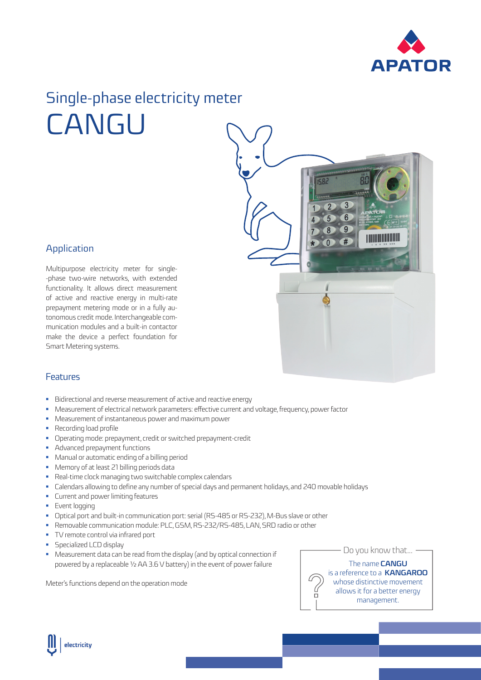

## Single-phase electricity meter CANGU



## Application

Multipurpose electricity meter for single- -phase two-wire networks, with extended functionality. It allows direct measurement of active and reactive energy in multi-rate prepayment metering mode or in a fully autonomous credit mode. Interchangeable communication modules and a built-in contactor make the device a perfect foundation for Smart Metering systems.

## Features

- Bidirectional and reverse measurement of active and reactive energy
- Measurement of electrical network parameters: effective current and voltage, frequency, power factor
- Measurement of instantaneous power and maximum power
- Recording load profile
- Operating mode: prepayment, credit or switched prepayment-credit
- **Advanced prepayment functions**
- **•** Manual or automatic ending of a billing period
- Memory of at least 21 billing periods data
- Real-time clock managing two switchable complex calendars
- Calendars allowing to define any number of special days and permanent holidays, and 240 movable holidays
- **•** Current and power limiting features
- **Event logging**
- Optical port and built-in communication port: serial (RS-485 or RS-232), M-Bus slave or other
- Removable communication module: PLC, GSM, RS-232/RS-485, LAN, SRD radio or other
- **TV** remote control via infrared port
- **Specialized LCD display**
- Measurement data can be read from the display (and by optical connection if powered by a replaceable ½ AA 3.6 V battery) in the event of power failure

Meter's functions depend on the operation mode

 $-$  Do you know that...  $-$ 

The name **CANGU** is a reference to a **KANGAROO** whose distinctive movement allows it for a better energy management.